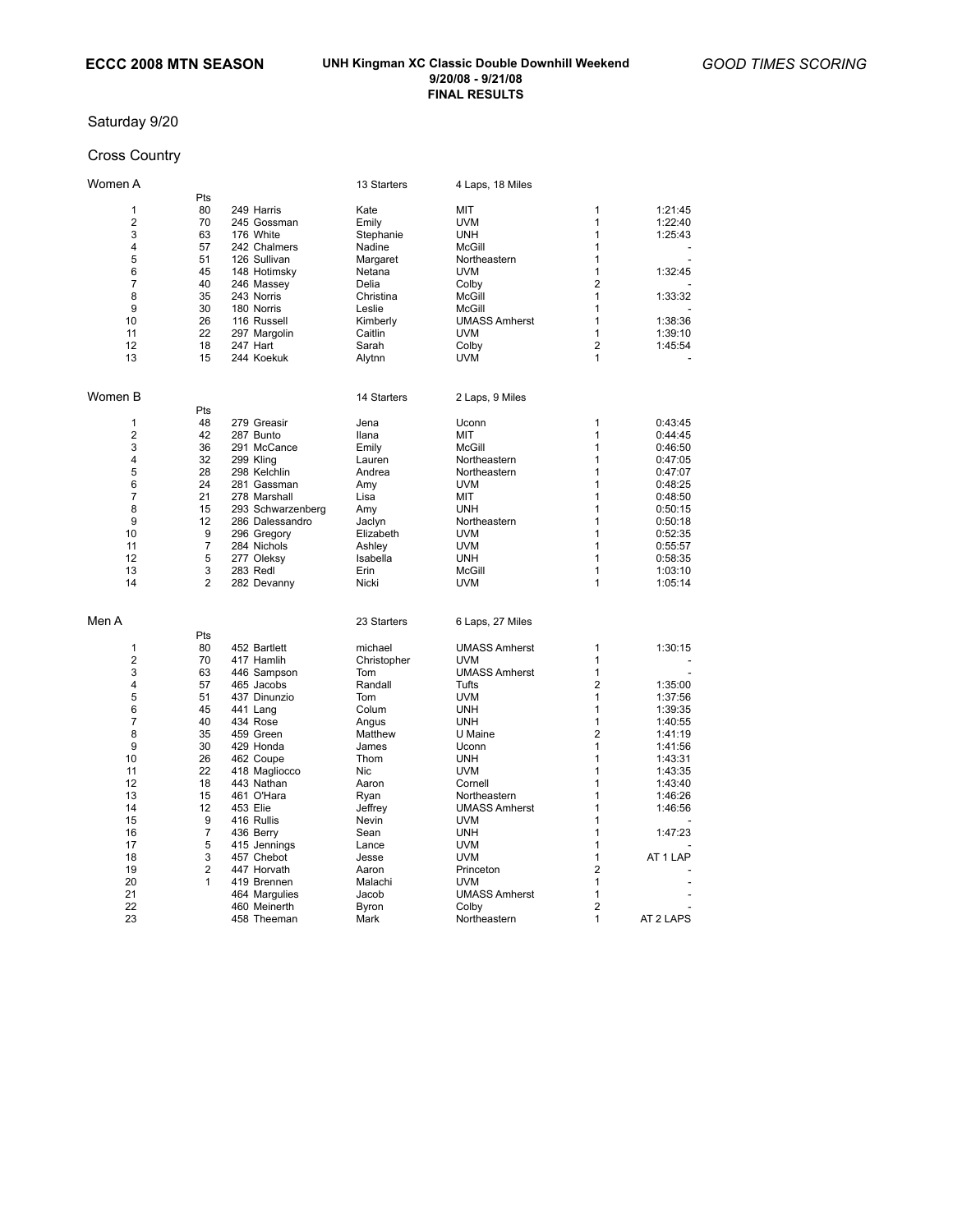## Saturday 9/20

## Cross Country

| Women A        |                |                   | 13 Starters  | 4 Laps, 18 Miles     |                     |           |
|----------------|----------------|-------------------|--------------|----------------------|---------------------|-----------|
|                | Pts            |                   |              |                      |                     |           |
| 1              | 80             | 249 Harris        | Kate         | MIT                  | 1                   | 1:21:45   |
| 2              | 70             | 245 Gossman       | Emily        | <b>UVM</b>           | 1                   | 1:22:40   |
| 3              | 63             | 176 White         | Stephanie    | <b>UNH</b>           | 1                   | 1:25:43   |
| 4              | 57             | 242 Chalmers      | Nadine       | <b>McGill</b>        | 1                   |           |
| 5              | 51             | 126 Sullivan      | Margaret     | Northeastern         | $\mathbf{1}$        |           |
| 6              | 45             | 148 Hotimsky      | Netana       | <b>UVM</b>           | 1                   | 1:32:45   |
| 7              | 40             | 246 Massey        | Delia        | Colby                | 2                   |           |
| 8              | 35             | 243 Norris        | Christina    | <b>McGill</b>        | 1                   | 1:33:32   |
| 9              | 30             | 180 Norris        | Leslie       | <b>McGill</b>        | 1                   |           |
| 10             | 26             | 116 Russell       |              | <b>UMASS Amherst</b> | 1                   | 1:38:36   |
|                |                |                   | Kimberly     |                      |                     |           |
| 11             | 22             | 297 Margolin      | Caitlin      | <b>UVM</b>           | 1                   | 1:39:10   |
| 12             | 18             | 247 Hart          | Sarah        | Colby                | $\overline{2}$      | 1:45:54   |
| 13             | 15             | 244 Koekuk        | Alytnn       | <b>UVM</b>           | 1                   |           |
| Women B        |                |                   | 14 Starters  | 2 Laps, 9 Miles      |                     |           |
|                | Pts            |                   |              |                      |                     |           |
| 1              | 48             | 279 Greasir       | Jena         | Uconn                | $\mathbf{1}$        | 0:43:45   |
| $\overline{2}$ | 42             | 287 Bunto         | <b>Ilana</b> | MIT                  | 1                   | 0:44:45   |
| 3              | 36             | 291 McCance       | Emily        | <b>McGill</b>        | 1                   | 0:46:50   |
| 4              | 32             | 299 Kling         | Lauren       | Northeastern         | 1                   | 0:47:05   |
| 5              | 28             | 298 Kelchlin      | Andrea       | Northeastern         | 1                   | 0:47:07   |
| 6              | 24             | 281 Gassman       | Amy          | <b>UVM</b>           | 1                   | 0:48:25   |
| $\overline{7}$ | 21             | 278 Marshall      | Lisa         | MIT                  | 1                   | 0:48:50   |
| 8              | 15             | 293 Schwarzenberg | Amy          | <b>UNH</b>           | 1                   | 0:50:15   |
| 9              | 12             | 286 Dalessandro   | Jaclyn       | Northeastern         | 1                   | 0:50:18   |
| 10             | 9              | 296 Gregory       | Elizabeth    | <b>UVM</b>           | 1                   | 0:52:35   |
| 11             | $\overline{7}$ | 284 Nichols       | Ashley       | <b>UVM</b>           | 1                   | 0:55:57   |
| 12             | 5              | 277 Oleksy        | Isabella     | <b>UNH</b>           | 1                   | 0:58:35   |
| 13             | 3              | 283 Redl          | Erin         | <b>McGill</b>        | $\mathbf{1}$        | 1:03:10   |
| 14             | $\overline{2}$ | 282 Devanny       | Nicki        | <b>UVM</b>           | 1                   | 1:05:14   |
| Men A          |                |                   | 23 Starters  | 6 Laps, 27 Miles     |                     |           |
|                |                |                   |              |                      |                     |           |
|                | Pts            |                   |              |                      |                     |           |
| 1              | 80             | 452 Bartlett      | michael      | <b>UMASS Amherst</b> | 1                   | 1:30:15   |
| 2              | 70             | 417 Hamlih        | Christopher  | <b>UVM</b>           | 1                   |           |
| 3              | 63             | 446 Sampson       | Tom          | <b>UMASS Amherst</b> | 1                   |           |
| 4              | 57             | 465 Jacobs        | Randall      | Tufts                | $\overline{2}$      | 1:35:00   |
| 5              | 51             | 437 Dinunzio      | Tom          | <b>UVM</b>           | 1                   | 1:37:56   |
| 6              | 45             | 441 Lang          | Colum        | <b>UNH</b>           | 1                   | 1:39:35   |
| $\overline{7}$ | 40             | 434 Rose          | Angus        | <b>UNH</b>           | 1                   | 1:40:55   |
| 8              | 35             | 459 Green         | Matthew      | U Maine              | 2                   | 1:41:19   |
| 9              | 30             | 429 Honda         | James        | Uconn                | 1                   | 1:41:56   |
| 10             | 26             | 462 Coupe         | Thom         | <b>UNH</b>           | 1                   | 1:43:31   |
| 11             | 22             | 418 Magliocco     | Nic          | <b>UVM</b>           | 1                   | 1:43:35   |
| 12             | 18             | 443 Nathan        | Aaron        | Cornell              | 1                   | 1:43:40   |
| 13             | 15             | 461 O'Hara        | Ryan         | Northeastern         | 1                   | 1:46:26   |
| 14             | 12             | 453 Elie          | Jeffrey      | <b>UMASS Amherst</b> | 1                   | 1:46:56   |
| 15             | 9              | 416 Rullis        | Nevin        | <b>UVM</b>           | 1                   |           |
| 16             | 7              | 436 Berry         | Sean         | <b>UNH</b>           | 1                   | 1:47:23   |
| 17             | 5              | 415 Jennings      | Lance        | <b>UVM</b>           | 1                   |           |
| 18             | 3              | 457 Chebot        | Jesse        | <b>UVM</b>           | 1                   | AT 1 LAP  |
| 19             | 2              | 447 Horvath       | Aaron        | Princeton            | 2                   |           |
| 20             | 1              |                   |              | <b>UVM</b>           | 1                   |           |
|                |                | 419 Brennen       | Malachi      |                      |                     |           |
| 21             |                | 464 Margulies     | Jacob        | <b>UMASS Amherst</b> | 1<br>$\overline{2}$ |           |
| 22             |                | 460 Meinerth      | Byron        | Colby                |                     |           |
| 23             |                | 458 Theeman       | Mark         | Northeastern         | 1                   | AT 2 LAPS |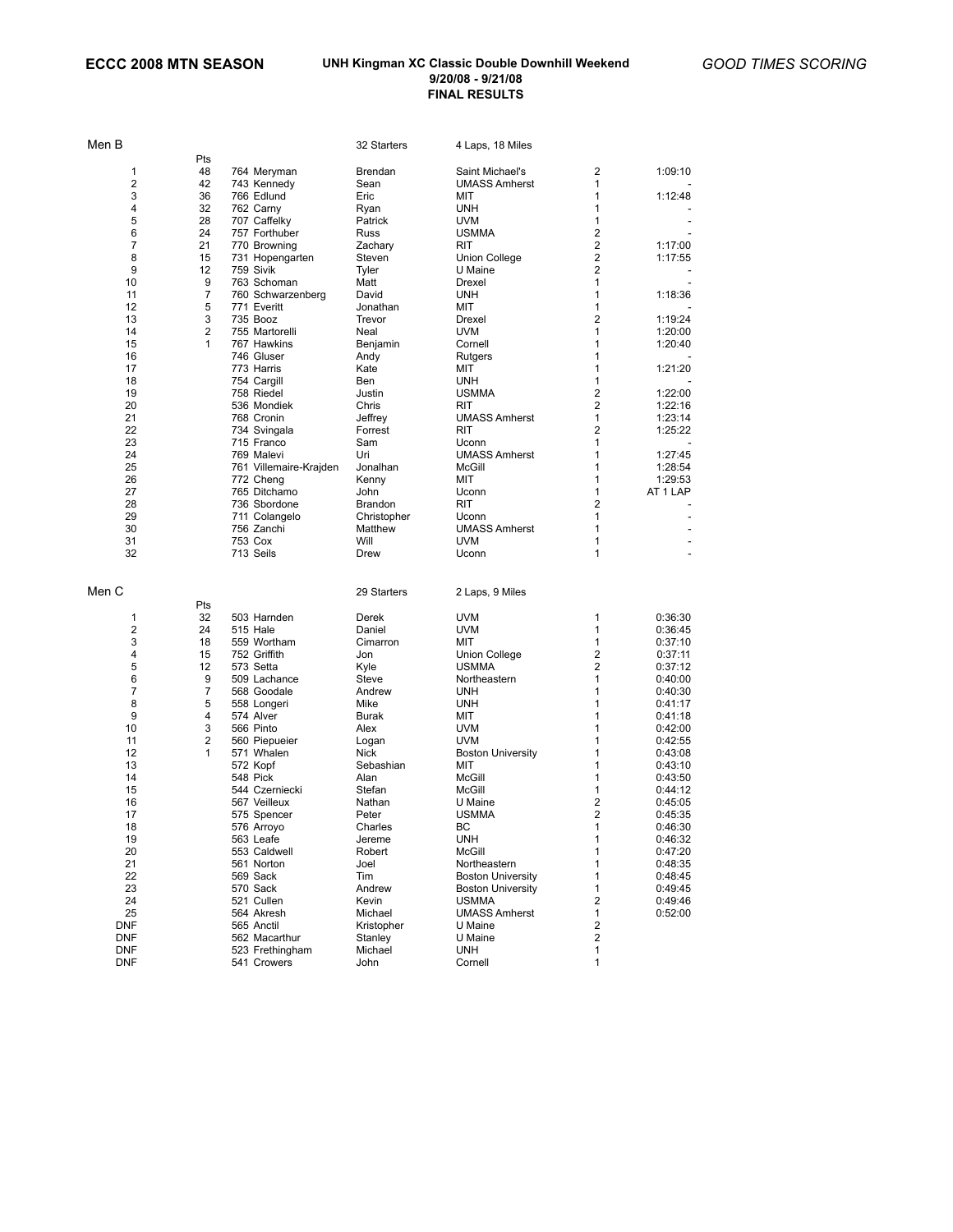| Men B             |                |                                | 32 Starters     | 4 Laps, 18 Miles         |                         |                          |
|-------------------|----------------|--------------------------------|-----------------|--------------------------|-------------------------|--------------------------|
|                   | Pts            |                                |                 |                          |                         |                          |
| 1                 | 48             | 764 Meryman                    | Brendan         | Saint Michael's          | 2                       | 1:09:10                  |
| 2                 | 42             | 743 Kennedy                    | Sean            | <b>UMASS Amherst</b>     | 1                       |                          |
| 3                 | 36             | 766 Edlund                     | Eric            | MIT                      | 1                       | 1:12:48                  |
| 4                 | 32             | 762 Carny                      | Ryan            | <b>UNH</b>               | 1                       |                          |
| 5                 | 28             | 707 Caffelky                   | Patrick         | <b>UVM</b>               | 1                       |                          |
| 6                 | 24             | 757 Forthuber                  | Russ            | <b>USMMA</b>             | 2                       |                          |
| 7                 | 21             | 770 Browning                   | Zachary         | RIT                      | 2                       | 1:17:00                  |
| 8                 | 15             | 731 Hopengarten                | Steven          | Union College            | 2                       | 1:17:55                  |
| 9                 | 12             | 759 Sivik                      | Tyler           | U Maine                  | 2                       |                          |
| 10                | 9              | 763 Schoman                    | Matt            | Drexel                   | 1                       |                          |
| 11                | 7              | 760 Schwarzenberg              | David           | <b>UNH</b>               | 1                       | 1:18:36                  |
| 12                | 5              | 771 Everitt                    | Jonathan        | MIT                      | 1                       |                          |
| 13                | 3              | 735 Booz                       | Trevor          | Drexel                   | 2                       | 1:19:24                  |
| 14                | $\overline{2}$ | 755 Martorelli                 | Neal            | <b>UVM</b>               | 1                       | 1:20:00                  |
| 15                | 1              | 767 Hawkins                    | Benjamin        | Cornell                  | 1                       | 1:20:40                  |
| 16                |                | 746 Gluser                     | Andy            | Rutgers                  | 1                       |                          |
| 17                |                | 773 Harris                     | Kate            | MIT                      | 1                       | 1:21:20                  |
| 18                |                | 754 Cargill                    | Ben             | <b>UNH</b>               | 1                       |                          |
| 19                |                | 758 Riedel                     | Justin          | <b>USMMA</b>             | 2                       | 1:22:00                  |
| 20                |                | 536 Mondiek                    | Chris           | RIT                      | $\overline{\mathbf{c}}$ | 1:22:16                  |
| 21                |                | 768 Cronin                     | Jeffrey         | <b>UMASS Amherst</b>     | 1                       | 1:23:14                  |
| 22                |                | 734 Svingala                   | Forrest         | <b>RIT</b>               | 2                       | 1:25:22                  |
| 23                |                |                                |                 |                          | 1                       |                          |
|                   |                | 715 Franco                     | Sam             | Uconn                    | 1                       | 1:27:45                  |
| 24                |                | 769 Malevi                     | Uri             | <b>UMASS Amherst</b>     |                         |                          |
| 25                |                | 761 Villemaire-Krajden         | Jonalhan        | McGill                   | 1                       | 1:28:54                  |
| 26                |                | 772 Cheng                      | Kenny           | MIT                      | 1                       | 1:29:53                  |
| 27                |                | 765 Ditchamo                   | John            | Uconn                    | 1                       | AT 1 LAP                 |
| 28                |                | 736 Sbordone                   | Brandon         | RIT                      | 2                       |                          |
| 29                |                | 711 Colangelo                  | Christopher     | Uconn                    | 1                       |                          |
| 30                |                | 756 Zanchi                     | Matthew         | <b>UMASS Amherst</b>     | 1                       | $\overline{\phantom{m}}$ |
| 31                |                | 753 Cox                        | Will            | <b>UVM</b>               | 1                       | $\overline{\phantom{a}}$ |
| 32                |                | 713 Seils                      | Drew            | Uconn                    | 1                       | $\overline{a}$           |
|                   |                |                                |                 |                          |                         |                          |
| Men C             |                |                                | 29 Starters     | 2 Laps, 9 Miles          |                         |                          |
|                   | Pts            |                                |                 |                          |                         |                          |
| 1                 | 32             | 503 Harnden                    | Derek           | <b>UVM</b>               | 1                       | 0:36:30                  |
| 2                 | 24             | 515 Hale                       | Daniel          | <b>UVM</b>               | 1                       | 0:36:45                  |
| 3                 | 18             | 559 Wortham                    | Cimarron        | MIT                      | 1                       | 0:37:10                  |
| 4                 | 15             | 752 Griffith                   | Jon             | Union College            | 2                       | 0:37:11                  |
| 5                 | 12             | 573 Setta                      | Kyle            | <b>USMMA</b>             | 2                       | 0:37:12                  |
| 6                 | 9              | 509 Lachance                   | Steve           | Northeastern             | 1                       | 0:40:00                  |
| $\overline{7}$    | 7              | 568 Goodale                    | Andrew          | UNH                      | 1                       | 0:40:30                  |
| 8                 | 5              | 558 Longeri                    | Mike            | <b>UNH</b>               | 1                       | 0:41:17                  |
| 9                 | $\overline{4}$ | 574 Alver                      | Burak           | MIT                      | 1                       | 0:41:18                  |
| 10                | 3              | 566 Pinto                      | Alex            | <b>UVM</b>               | 1                       | 0:42:00                  |
| 11                | $\overline{2}$ | 560 Piepueier                  | Logan           | <b>UVM</b>               | 1                       | 0:42:55                  |
| 12                | 1              | 571 Whalen                     | Nick            | <b>Boston University</b> | 1                       | 0:43:08                  |
| 13                |                | 572 Kopf                       | Sebashian       | MIT                      | 1                       | 0:43:10                  |
| 14                |                | 548 Pick                       | Alan            | McGill                   | 1                       | 0:43:50                  |
| 15                |                | 544 Czerniecki                 | Stefan          | McGill                   | 1                       | 0:44:12                  |
| 16                |                | 567 Veilleux                   | Nathan          | U Maine                  | 2                       | 0:45:05                  |
| 17                |                | 575 Spencer                    | Peter           | <b>USMMA</b>             | 2                       | 0:45:35                  |
| 18                |                | 576 Arroyo                     | Charles         | ВC                       | 1                       | 0:46:30                  |
| 19                |                | 563 Leafe                      | Jereme          | <b>UNH</b>               | 1                       | 0:46:32                  |
| 20                |                | 553 Caldwell                   | Robert          | McGill                   | 1                       | 0:47:20                  |
| 21                |                | 561 Norton                     | Joel            | Northeastern             | 1                       | 0:48:35                  |
| 22                |                | 569 Sack                       | Tim             | <b>Boston University</b> | 1                       | 0:48:45                  |
| 23                |                | 570 Sack                       | Andrew          | <b>Boston University</b> | 1                       | 0:49:45                  |
| 24                |                | 521 Cullen                     | Kevin           | <b>USMMA</b>             | 2                       | 0:49:46                  |
| 25                |                | 564 Akresh                     | Michael         | <b>UMASS Amherst</b>     | 1                       | 0:52:00                  |
|                   |                |                                |                 |                          |                         |                          |
| <b>DNF</b>        |                |                                |                 |                          |                         |                          |
|                   |                | 565 Anctil                     | Kristopher      | U Maine                  | 2                       |                          |
| <b>DNF</b>        |                | 562 Macarthur                  | Stanley         | U Maine                  | 2                       |                          |
| DNF<br><b>DNF</b> |                | 523 Frethingham<br>541 Crowers | Michael<br>John | <b>UNH</b><br>Cornell    | 1<br>1                  |                          |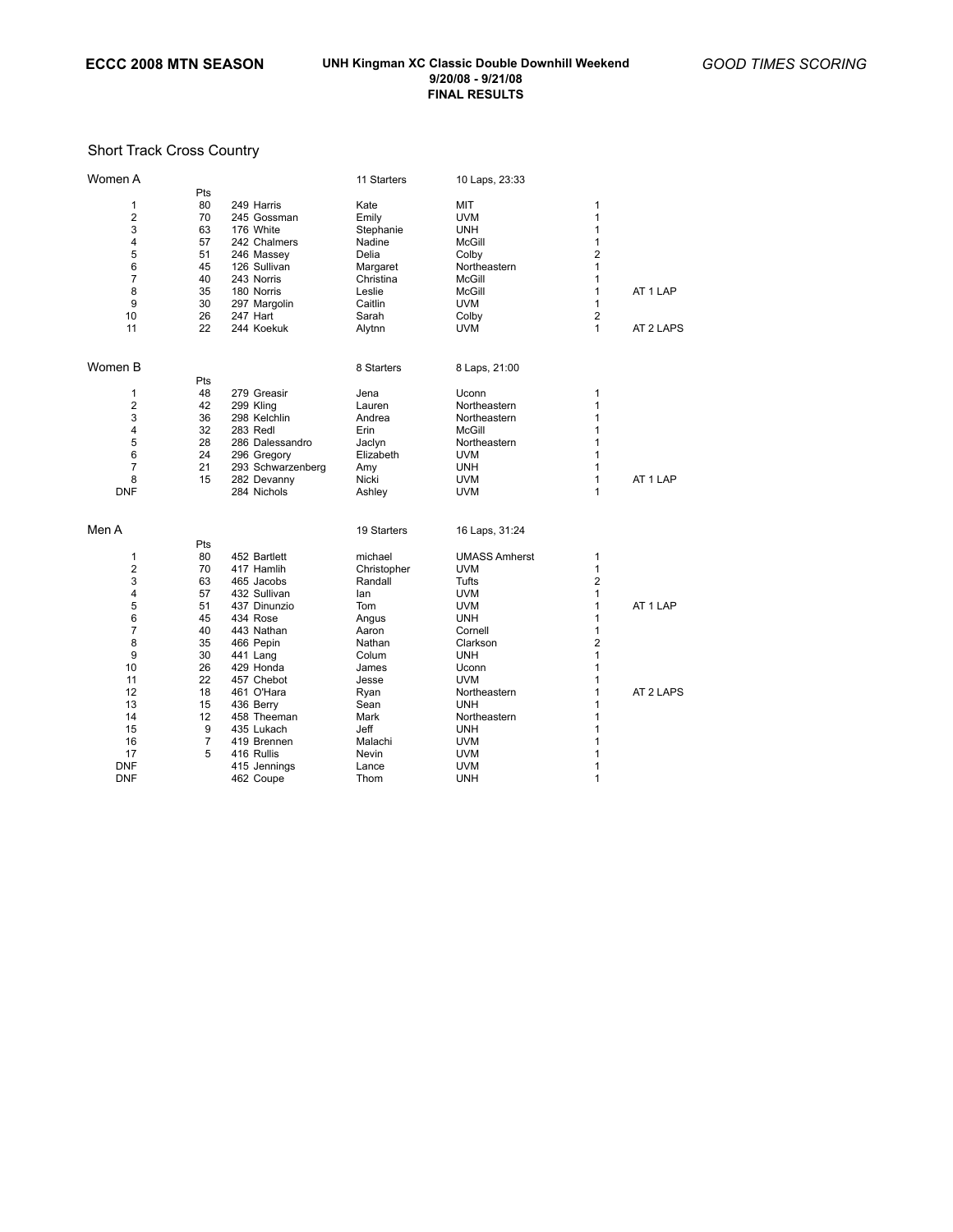# Short Track Cross Country

| Women A        |                |                   | 11 Starters | 10 Laps, 23:33       |                         |           |
|----------------|----------------|-------------------|-------------|----------------------|-------------------------|-----------|
|                | Pts            |                   |             |                      |                         |           |
| 1              | 80             | 249 Harris        | Kate        | MIT                  | 1                       |           |
| $\overline{2}$ | 70             | 245 Gossman       | Emily       | <b>UVM</b>           | 1                       |           |
| 3              | 63             | 176 White         | Stephanie   | <b>UNH</b>           | 1                       |           |
| 4              | 57             | 242 Chalmers      | Nadine      | <b>McGill</b>        | 1                       |           |
| 5              | 51             | 246 Massey        | Delia       | Colby                | $\overline{2}$          |           |
| 6              | 45             | 126 Sullivan      | Margaret    | Northeastern         | 1                       |           |
| $\overline{7}$ | 40             | 243 Norris        | Christina   | McGill               | 1                       |           |
| 8              | 35             | 180 Norris        | Leslie      | <b>McGill</b>        | 1                       | AT 1 LAP  |
| 9              | 30             | 297 Margolin      | Caitlin     | <b>UVM</b>           | 1                       |           |
| 10             | 26             | 247 Hart          | Sarah       | Colby                | $\overline{2}$          |           |
| 11             | 22             | 244 Koekuk        | Alytnn      | UVM                  | 1                       | AT 2 LAPS |
|                |                |                   |             |                      |                         |           |
| Women B        |                |                   | 8 Starters  | 8 Laps, 21:00        |                         |           |
|                | Pts            |                   |             |                      |                         |           |
| 1              | 48             | 279 Greasir       | Jena        | Uconn                | 1                       |           |
| $\overline{2}$ | 42             | 299 Kling         | Lauren      | Northeastern         | 1                       |           |
| 3              | 36             | 298 Kelchlin      | Andrea      | Northeastern         | 1                       |           |
| 4              | 32             | 283 Redl          | Erin        | <b>McGill</b>        | 1                       |           |
| 5              | 28             | 286 Dalessandro   | Jaclyn      | Northeastern         | 1                       |           |
| 6              | 24             | 296 Gregory       | Elizabeth   | <b>UVM</b>           | 1                       |           |
| $\overline{7}$ | 21             | 293 Schwarzenberg | Amy         | UNH                  | $\mathbf{1}$            |           |
| 8              | 15             | 282 Devanny       | Nicki       | <b>UVM</b>           | 1                       | AT 1 LAP  |
| <b>DNF</b>     |                | 284 Nichols       | Ashley      | <b>UVM</b>           | 1                       |           |
| Men A          |                |                   |             |                      |                         |           |
|                |                |                   | 19 Starters | 16 Laps, 31:24       |                         |           |
|                | Pts            |                   |             |                      |                         |           |
| 1              | 80             | 452 Bartlett      | michael     | <b>UMASS Amherst</b> | $\mathbf{1}$            |           |
| $\overline{2}$ | 70             | 417 Hamlih        | Christopher | <b>UVM</b>           | 1                       |           |
| 3              | 63             | 465 Jacobs        | Randall     | Tufts                | $\overline{2}$          |           |
| 4              | 57             | 432 Sullivan      | lan         | <b>UVM</b>           | 1                       |           |
| 5              | 51             | 437 Dinunzio      | Tom         | <b>UVM</b>           | 1                       | AT 1 LAP  |
| 6              | 45             | 434 Rose          | Angus       | <b>UNH</b>           | 1                       |           |
| $\overline{7}$ | 40             | 443 Nathan        | Aaron       | Cornell              | 1                       |           |
| 8              | 35             | 466 Pepin         | Nathan      | Clarkson             | $\overline{\mathbf{c}}$ |           |
| 9              | 30             | 441 Lang          | Colum       | UNH                  | 1                       |           |
| 10             | 26             | 429 Honda         | James       | Uconn                | 1                       |           |
| 11             | 22             | 457 Chebot        | Jesse       | <b>UVM</b>           | 1                       |           |
| 12             | 18             | 461 O'Hara        | Ryan        | Northeastern         | 1                       | AT 2 LAPS |
| 13             | 15             | 436 Berry         | Sean        | UNH                  | 1                       |           |
| 14             | 12             | 458 Theeman       | Mark        | Northeastern         | 1                       |           |
| 15             | 9              | 435 Lukach        | Jeff        | UNH                  | $\overline{1}$          |           |
| 16             | $\overline{7}$ | 419 Brennen       | Malachi     | <b>UVM</b>           | 1                       |           |
| 17             | 5              | 416 Rullis        | Nevin       | <b>UVM</b>           | 1                       |           |
| <b>DNF</b>     |                | 415 Jennings      | Lance       | <b>UVM</b>           | 1                       |           |
| <b>DNF</b>     |                | 462 Coupe         | Thom        | <b>UNH</b>           | 1                       |           |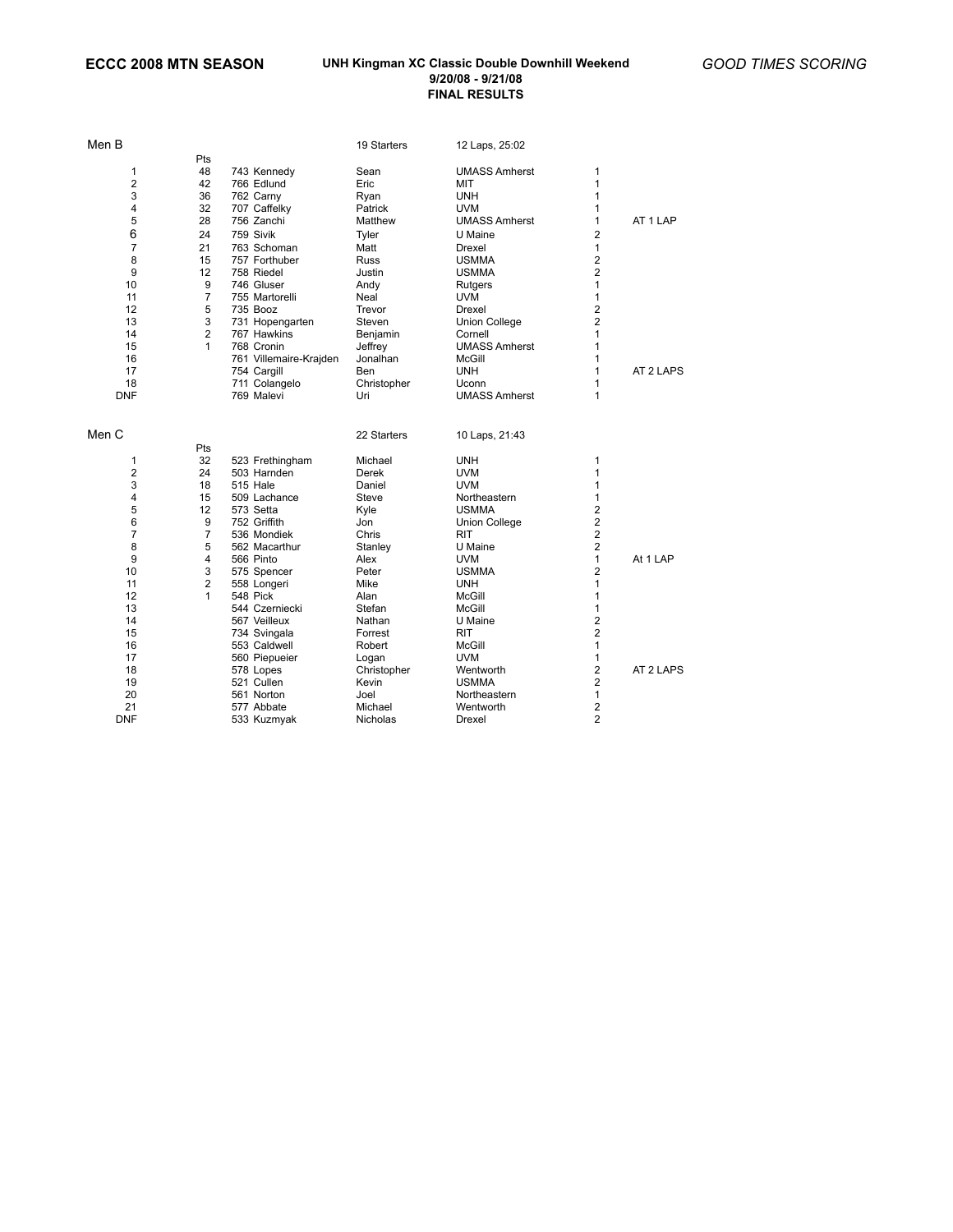| Men B          |                |                        | 19 Starters | 12 Laps, 25:02       |                         |           |
|----------------|----------------|------------------------|-------------|----------------------|-------------------------|-----------|
|                | Pts            |                        |             |                      |                         |           |
| 1              | 48             | 743 Kennedy            | Sean        | <b>UMASS Amherst</b> | 1                       |           |
| $\overline{2}$ | 42             | 766 Edlund             | Eric        | MIT                  | 1                       |           |
| 3              | 36             | 762 Carny              | Ryan        | <b>UNH</b>           | 1                       |           |
| 4              | 32             | 707 Caffelky           | Patrick     | <b>UVM</b>           | 1                       |           |
| 5              | 28             | 756 Zanchi             | Matthew     | <b>UMASS Amherst</b> | 1                       | AT 1 LAP  |
| 6              | 24             | 759 Sivik              | Tyler       | U Maine              | $\overline{2}$          |           |
| $\overline{7}$ | 21             | 763 Schoman            | Matt        | Drexel               | $\mathbf{1}$            |           |
| 8              | 15             | 757 Forthuber          | <b>Russ</b> | <b>USMMA</b>         | $\overline{\mathbf{c}}$ |           |
| 9              | 12             | 758 Riedel             | Justin      | <b>USMMA</b>         | 2                       |           |
| 10             | 9              | 746 Gluser             | Andy        | Rutgers              | 1                       |           |
| 11             | $\overline{7}$ | 755 Martorelli         | Neal        | <b>UVM</b>           | 1                       |           |
| 12             | 5              | 735 Booz               | Trevor      | Drexel               | 2                       |           |
| 13             | 3              | 731 Hopengarten        | Steven      | <b>Union College</b> | 2                       |           |
| 14             | $\overline{2}$ | 767 Hawkins            | Benjamin    | Cornell              | 1                       |           |
| 15             | 1              | 768 Cronin             | Jeffrey     | <b>UMASS Amherst</b> | 1                       |           |
| 16             |                | 761 Villemaire-Krajden | Jonalhan    | <b>McGill</b>        | 1                       |           |
| 17             |                | 754 Cargill            | Ben         | <b>UNH</b>           | 1                       | AT 2 LAPS |
| 18             |                | 711 Colangelo          | Christopher | Uconn                | 1                       |           |
| <b>DNF</b>     |                | 769 Malevi             | Uri         | <b>UMASS Amherst</b> | 1                       |           |
| Men C          |                |                        | 22 Starters | 10 Laps, 21:43       |                         |           |
|                | Pts            |                        |             |                      |                         |           |
| 1              | 32             | 523 Frethingham        | Michael     | <b>UNH</b>           | 1                       |           |
| $\overline{2}$ | 24             | 503 Harnden            | Derek       | <b>UVM</b>           | 1                       |           |
| 3              | 18             | 515 Hale               | Daniel      | <b>UVM</b>           | 1                       |           |
| 4              | 15             | 509 Lachance           | Steve       | Northeastern         | 1                       |           |
| 5              | 12             | 573 Setta              | Kyle        | <b>USMMA</b>         | 2                       |           |
| 6              | 9              | 752 Griffith           | Jon         | Union College        | 2                       |           |
| $\overline{7}$ | 7              | 536 Mondiek            | Chris       | RIT                  | $\overline{\mathbf{c}}$ |           |
| 8              | 5              | 562 Macarthur          | Stanley     | U Maine              | $\overline{\mathbf{c}}$ |           |
| 9              | 4              | 566 Pinto              | Alex        | <b>UVM</b>           | 1                       | At 1 LAP  |
| 10             | 3              | 575 Spencer            | Peter       | <b>USMMA</b>         | 2                       |           |
| 11             | 2              | 558 Longeri            | Mike        | <b>UNH</b>           | 1                       |           |
| 12             | 1              | 548 Pick               | Alan        | McGill               | 1                       |           |
| 13             |                | 544 Czerniecki         | Stefan      | <b>McGill</b>        | 1                       |           |
| 14             |                | 567 Veilleux           | Nathan      | U Maine              | $\overline{\mathbf{c}}$ |           |
| 15             |                | 734 Svingala           | Forrest     | <b>RIT</b>           | $\overline{\mathbf{c}}$ |           |
| 16             |                | 553 Caldwell           | Robert      | McGill               | 1                       |           |
| 17             |                | 560 Piepueier          | Logan       | <b>UVM</b>           | $\mathbf{1}$            |           |
| 18             |                | 578 Lopes              | Christopher | Wentworth            | 2                       | AT 2 LAPS |
| 19             |                | 521 Cullen             | Kevin       | <b>USMMA</b>         | 2                       |           |
| 20             |                | 561 Norton             | Joel        | Northeastern         | 1                       |           |
| 21             |                | 577 Abbate             | Michael     | Wentworth            | 2                       |           |
| <b>DNF</b>     |                | 533 Kuzmyak            | Nicholas    | Drexel               | $\overline{2}$          |           |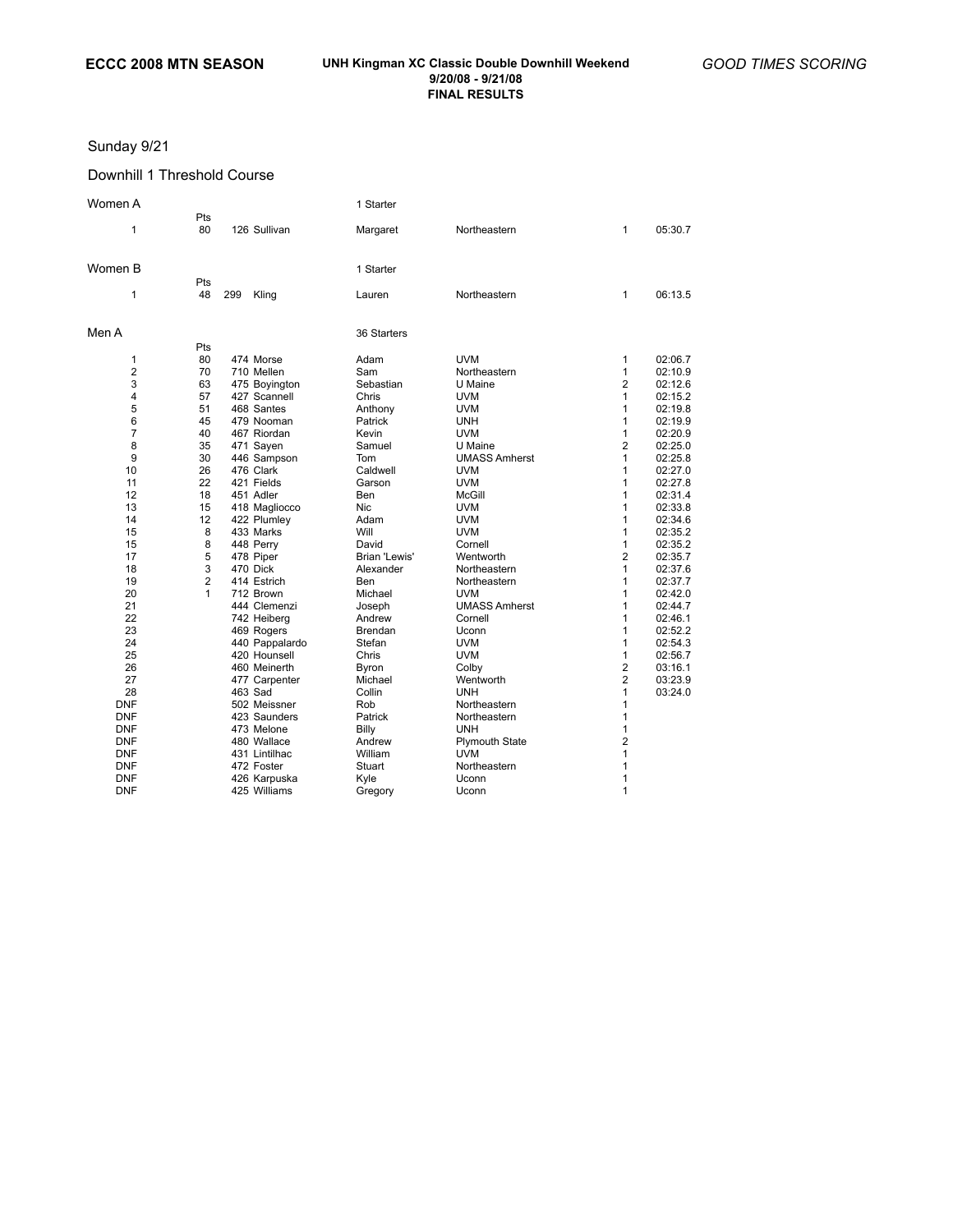## Sunday 9/21

## Downhill 1 Threshold Course

| Women A        |                |     |                | 1 Starter     |                      |                |         |
|----------------|----------------|-----|----------------|---------------|----------------------|----------------|---------|
| 1              | Pts<br>80      |     | 126 Sullivan   | Margaret      | Northeastern         | 1              | 05:30.7 |
| Women B        |                |     |                | 1 Starter     |                      |                |         |
| 1              | Pts<br>48      | 299 | Kling          | Lauren        | Northeastern         | 1              | 06:13.5 |
| Men A          |                |     |                | 36 Starters   |                      |                |         |
|                | Pts            |     |                |               |                      |                |         |
| $\mathbf{1}$   | 80             |     | 474 Morse      | Adam          | <b>UVM</b>           | 1              | 02:06.7 |
| $\overline{2}$ | 70             |     | 710 Mellen     | Sam           | Northeastern         | 1              | 02:10.9 |
| 3              | 63             |     | 475 Boyington  | Sebastian     | U Maine              | $\overline{2}$ | 02:12.6 |
| 4              | 57             |     | 427 Scannell   | Chris         | <b>UVM</b>           | $\mathbf{1}$   | 02:15.2 |
| 5              | 51             |     | 468 Santes     | Anthony       | <b>UVM</b>           | 1              | 02:19.8 |
| 6              | 45             |     | 479 Nooman     | Patrick       | <b>UNH</b>           | 1              | 02:19.9 |
| $\overline{7}$ | 40             |     | 467 Riordan    | Kevin         | <b>UVM</b>           | 1              | 02:20.9 |
| 8              | 35             |     | 471 Sayen      | Samuel        | U Maine              | $\overline{2}$ | 02:25.0 |
| 9              | 30             |     | 446 Sampson    | Tom           | <b>UMASS Amherst</b> | 1              | 02:25.8 |
| 10             | 26             |     | 476 Clark      | Caldwell      | <b>UVM</b>           | 1              | 02:27.0 |
| 11             | 22             |     | 421 Fields     | Garson        | <b>UVM</b>           | 1              | 02:27.8 |
| 12             | 18             |     | 451 Adler      | Ben           | McGill               | 1              | 02:31.4 |
| 13             | 15             |     | 418 Magliocco  | <b>Nic</b>    | <b>UVM</b>           | 1              | 02:33.8 |
| 14             | 12             |     | 422 Plumley    | Adam          | <b>UVM</b>           | 1              | 02:34.6 |
| 15             | 8              |     | 433 Marks      | Will          | <b>UVM</b>           | 1              | 02:35.2 |
| 15             | 8              |     | 448 Perry      | David         | Cornell              | 1              | 02:35.2 |
| 17             | 5              |     | 478 Piper      | Brian 'Lewis' | Wentworth            | $\overline{2}$ | 02:35.7 |
| 18             | 3              |     | 470 Dick       | Alexander     | Northeastern         | 1              | 02:37.6 |
| 19             | $\overline{2}$ |     | 414 Estrich    | Ben           | Northeastern         | 1              | 02:37.7 |
| 20             | 1              |     | 712 Brown      | Michael       | <b>UVM</b>           | 1              | 02:42.0 |
| 21             |                |     | 444 Clemenzi   | Joseph        | <b>UMASS Amherst</b> | 1              | 02:44.7 |
| 22             |                |     | 742 Heiberg    | Andrew        | Cornell              | 1              | 02:46.1 |
| 23             |                |     | 469 Rogers     | Brendan       | Uconn                | 1              | 02:52.2 |
| 24             |                |     | 440 Pappalardo | Stefan        | <b>UVM</b>           | 1              | 02:54.3 |
| 25             |                |     | 420 Hounsell   | Chris         | <b>UVM</b>           | 1              | 02:56.7 |
| 26             |                |     | 460 Meinerth   | Byron         | Colby                | $\overline{2}$ | 03:16.1 |
| 27             |                |     | 477 Carpenter  | Michael       | Wentworth            | $\overline{2}$ | 03:23.9 |
| 28             |                |     | 463 Sad        | Collin        | <b>UNH</b>           | 1              | 03:24.0 |
| <b>DNF</b>     |                |     | 502 Meissner   | Rob           | Northeastern         | 1              |         |
| <b>DNF</b>     |                |     | 423 Saunders   | Patrick       | Northeastern         | 1              |         |
| <b>DNF</b>     |                |     | 473 Melone     | Billy         | <b>UNH</b>           | 1              |         |
| <b>DNF</b>     |                |     | 480 Wallace    | Andrew        | Plymouth State       | 2              |         |
| <b>DNF</b>     |                |     | 431 Lintilhac  | William       | <b>UVM</b>           | 1              |         |
| <b>DNF</b>     |                |     | 472 Foster     | Stuart        | Northeastern         | 1              |         |
| <b>DNF</b>     |                |     | 426 Karpuska   | Kyle          | Uconn                | 1              |         |
| <b>DNF</b>     |                |     | 425 Williams   | Gregory       | Uconn                | 1              |         |
|                |                |     |                |               |                      |                |         |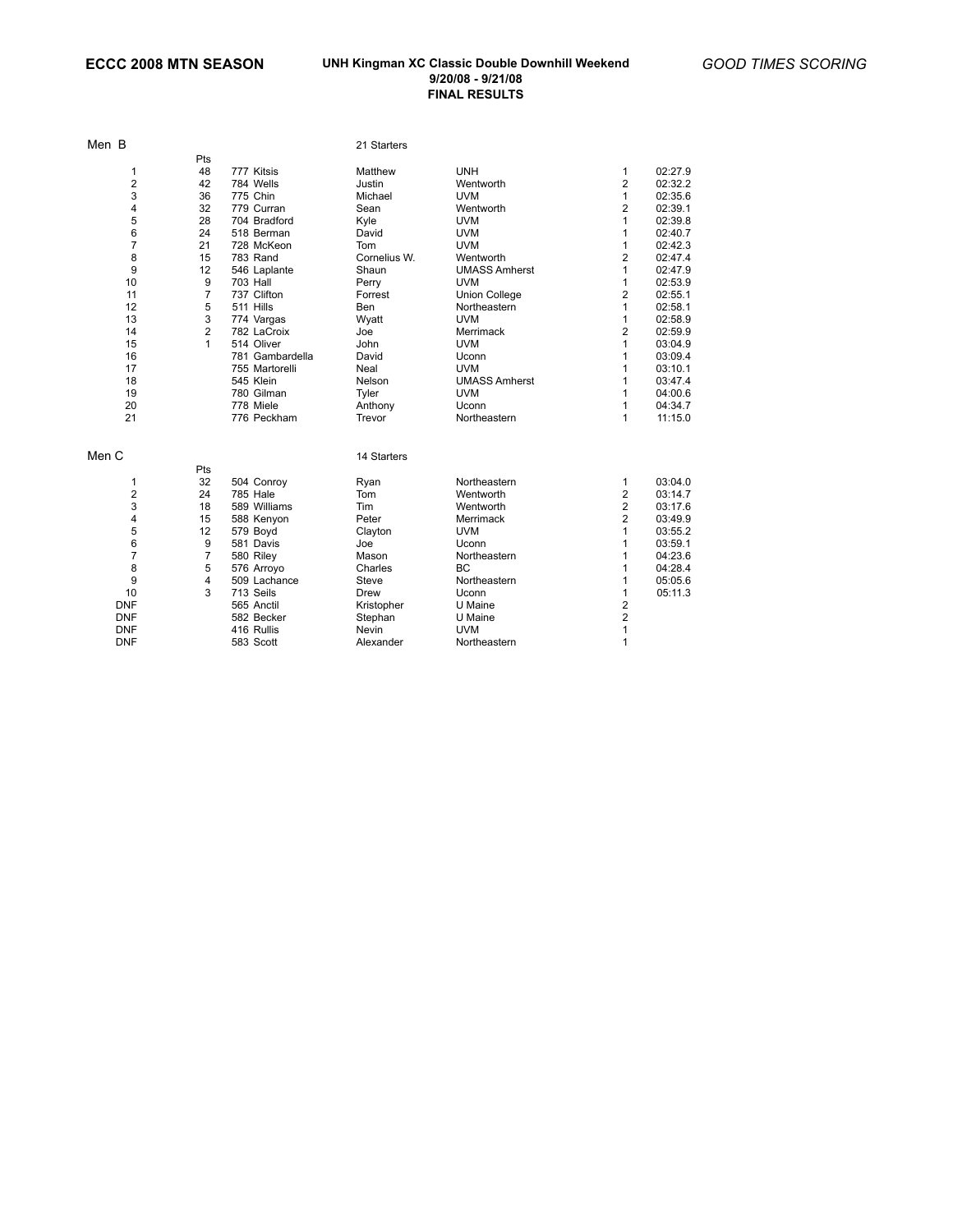| Men B          |                |                 | 21 Starters  |                      |                         |         |
|----------------|----------------|-----------------|--------------|----------------------|-------------------------|---------|
|                | Pts            |                 |              |                      |                         |         |
| 1              | 48             | 777 Kitsis      | Matthew      | <b>UNH</b>           | 1                       | 02:27.9 |
| 2              | 42             | 784 Wells       | Justin       | Wentworth            | 2                       | 02:32.2 |
| 3              | 36             | 775 Chin        | Michael      | <b>UVM</b>           | $\mathbf{1}$            | 02:35.6 |
| 4              | 32             | 779 Curran      | Sean         | Wentworth            | $\overline{2}$          | 02:39.1 |
| 5              | 28             | 704 Bradford    | Kyle         | <b>UVM</b>           | 1                       | 02:39.8 |
| 6              | 24             | 518 Berman      | David        | <b>UVM</b>           | 1                       | 02:40.7 |
| $\overline{7}$ | 21             | 728 McKeon      | Tom          | <b>UVM</b>           | 1                       | 02:42.3 |
| 8              | 15             | 783 Rand        | Cornelius W. | Wentworth            | $\overline{\mathbf{c}}$ | 02:47.4 |
| 9              | 12             | 546 Laplante    | Shaun        | <b>UMASS Amherst</b> | $\mathbf{1}$            | 02:47.9 |
| 10             | 9              | <b>703 Hall</b> | Perry        | <b>UVM</b>           | 1                       | 02:53.9 |
| 11             | $\overline{7}$ | 737 Clifton     | Forrest      | <b>Union College</b> | $\overline{2}$          | 02:55.1 |
| 12             | 5              | 511 Hills       | Ben          | Northeastern         | 1                       | 02:58.1 |
| 13             | 3              | 774 Vargas      | Wyatt        | <b>UVM</b>           | $\mathbf{1}$            | 02:58.9 |
| 14             | $\overline{2}$ | 782 LaCroix     | Joe          | Merrimack            | $\overline{2}$          | 02:59.9 |
| 15             | $\mathbf{1}$   | 514 Oliver      | John         | <b>UVM</b>           | 1                       | 03:04.9 |
| 16             |                | 781 Gambardella | David        | Uconn                | 1                       | 03:09.4 |
| 17             |                | 755 Martorelli  | Neal         | <b>UVM</b>           | 1                       | 03:10.1 |
| 18             |                | 545 Klein       | Nelson       | <b>UMASS Amherst</b> | 1                       | 03:47.4 |
| 19             |                | 780 Gilman      | Tyler        | <b>UVM</b>           | 1                       | 04:00.6 |
| 20             |                | 778 Miele       | Anthony      | Uconn                | 1                       | 04:34.7 |
| 21             |                | 776 Peckham     | Trevor       | Northeastern         | 1                       | 11:15.0 |
| Men C          |                |                 | 14 Starters  |                      |                         |         |
|                | Pts            |                 |              |                      |                         |         |
| 1              | 32             | 504 Conroy      | Ryan         | Northeastern         | 1                       | 03:04.0 |
| 2              | 24             | <b>785 Hale</b> | Tom          | Wentworth            | $\overline{2}$          | 03:14.7 |
| 3              | 18             | 589 Williams    | Tim          | Wentworth            | $\overline{\mathbf{c}}$ | 03:17.6 |
| 4              | 15             | 588 Kenyon      | Peter        | Merrimack            | 2                       | 03:49.9 |
| 5              | 12             | 579 Boyd        | Clayton      | <b>UVM</b>           | 1                       | 03:55.2 |
| 6              | 9              | 581 Davis       | Joe          | Uconn                | 1                       | 03:59.1 |
| $\overline{7}$ | $\overline{7}$ | 580 Riley       | Mason        | Northeastern         | 1                       | 04:23.6 |
| 8              | 5              | 576 Arroyo      | Charles      | <b>BC</b>            | 1                       | 04:28.4 |
| 9              | 4              | 509 Lachance    | Steve        | Northeastern         | 1                       | 05:05.6 |
| 10             | 3              | 713 Seils       | <b>Drew</b>  | Uconn                | 1                       | 05:11.3 |
| <b>DNF</b>     |                | 565 Anctil      | Kristopher   | U Maine              | $\overline{\mathbf{c}}$ |         |
| <b>DNF</b>     |                | 582 Becker      | Stephan      | U Maine              | $\overline{\mathbf{c}}$ |         |
| <b>DNF</b>     |                | 416 Rullis      | <b>Nevin</b> | <b>UVM</b>           | $\mathbf{1}$            |         |
| <b>DNF</b>     |                | 583 Scott       | Alexander    | Northeastern         | 1                       |         |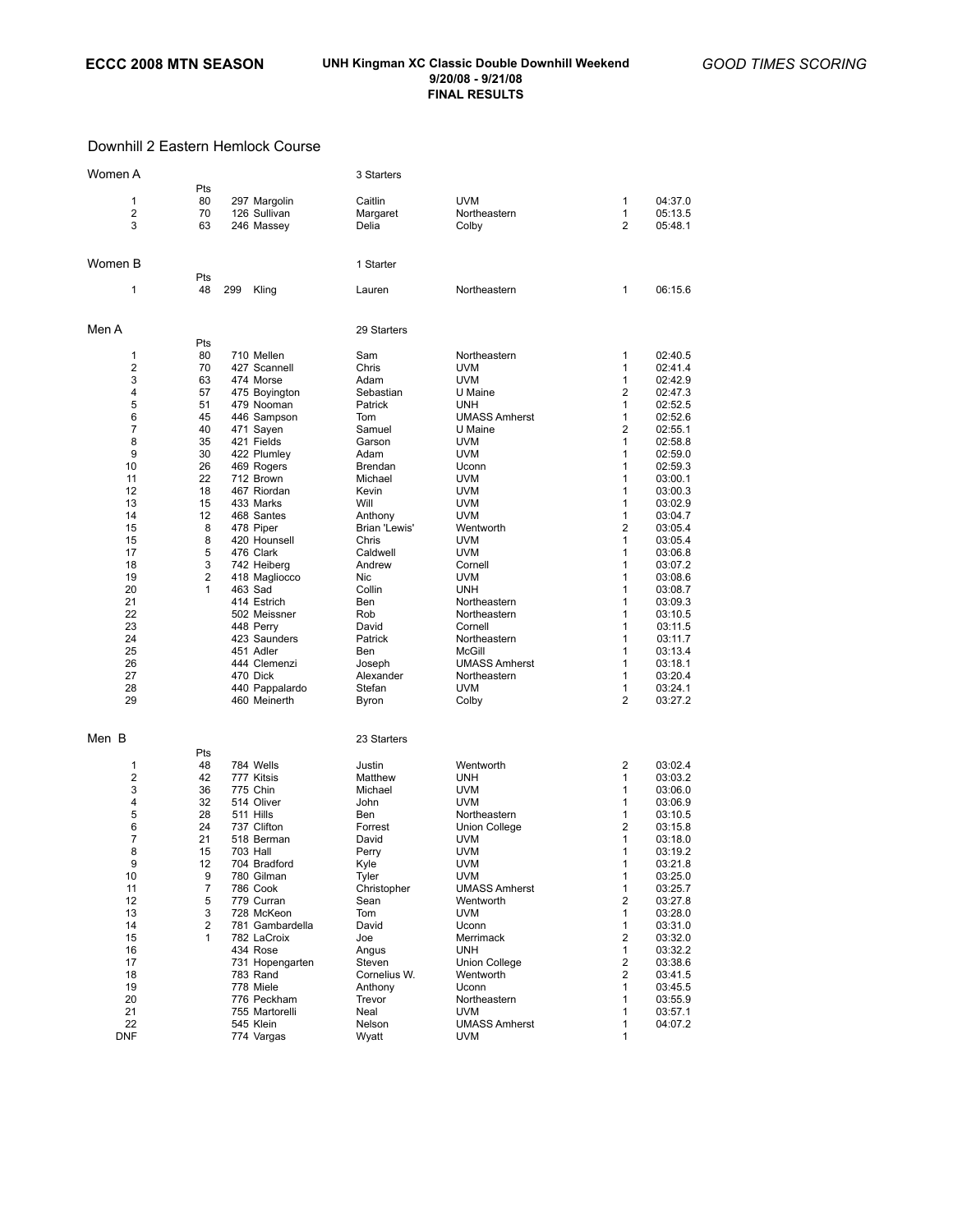## Downhill 2 Eastern Hemlock Course

| Women A        |                |                             | 3 Starters     |                                    |                |         |
|----------------|----------------|-----------------------------|----------------|------------------------------------|----------------|---------|
|                | Pts            |                             |                |                                    |                |         |
| 1              | 80             | 297 Margolin                | Caitlin        | <b>UVM</b>                         | 1              | 04:37.0 |
| $\overline{2}$ | 70             | 126 Sullivan                | Margaret       | Northeastern                       | 1              | 05:13.5 |
| 3              | 63             | 246 Massey                  | Delia          | Colby                              | 2              | 05:48.1 |
|                |                |                             |                |                                    |                |         |
| Women B        |                |                             | 1 Starter      |                                    |                |         |
|                | Pts            |                             |                |                                    |                |         |
| 1              | 48             | 299<br>Kling                | Lauren         | Northeastern                       | 1              | 06:15.6 |
|                |                |                             |                |                                    |                |         |
| Men A          |                |                             | 29 Starters    |                                    |                |         |
|                | Pts            |                             |                |                                    |                |         |
| 1              | 80             | 710 Mellen                  | Sam            | Northeastern                       | 1              | 02:40.5 |
| 2              | 70             | 427 Scannell                | Chris          | <b>UVM</b>                         | 1              | 02:41.4 |
| 3              | 63             | 474 Morse                   | Adam           | <b>UVM</b>                         | 1              | 02:42.9 |
| 4              | 57             | 475 Boyington               | Sebastian      | U Maine                            | 2              | 02:47.3 |
| 5              | 51             | 479 Nooman                  | Patrick        | <b>UNH</b>                         | 1              | 02:52.5 |
| 6              | 45             | 446 Sampson                 | Tom            | <b>UMASS Amherst</b>               | 1              | 02:52.6 |
| $\overline{7}$ | 40             | 471 Sayen                   | Samuel         | U Maine                            | $\overline{2}$ | 02:55.1 |
| 8              | 35             | 421 Fields                  | Garson         | <b>UVM</b>                         | 1              | 02:58.8 |
| 9              | 30             | 422 Plumley                 | Adam           | <b>UVM</b>                         | 1              | 02:59.0 |
| 10             | 26             | 469 Rogers                  | Brendan        | Uconn                              | 1              | 02:59.3 |
| 11             | 22             | 712 Brown                   | Michael        | <b>UVM</b>                         | 1              | 03:00.1 |
| 12             | 18             | 467 Riordan                 | Kevin          | <b>UVM</b>                         | 1              | 03:00.3 |
| 13             | 15             | 433 Marks                   | Will           | <b>UVM</b>                         | 1              | 03:02.9 |
| 14             | 12             | 468 Santes                  | Anthony        | <b>UVM</b>                         | 1              | 03:04.7 |
| 15             | 8              | 478 Piper                   | Brian 'Lewis'  | Wentworth                          | 2              | 03:05.4 |
| 15             | 8              | 420 Hounsell                | Chris          | <b>UVM</b>                         | 1              | 03:05.4 |
| 17             | 5              | 476 Clark                   | Caldwell       | <b>UVM</b>                         | 1              | 03:06.8 |
| 18             | 3              | 742 Heiberg                 | Andrew         | Cornell                            | 1              | 03:07.2 |
| 19             | $\overline{2}$ | 418 Magliocco               | Nic            | <b>UVM</b>                         | 1              | 03:08.6 |
| 20             | 1              | 463 Sad                     | Collin         | <b>UNH</b>                         | 1              | 03:08.7 |
| 21             |                | 414 Estrich                 | Ben            | Northeastern                       | 1              | 03:09.3 |
| 22             |                | 502 Meissner                | Rob            | Northeastern                       | 1              | 03:10.5 |
| 23             |                | 448 Perry                   | David          | Cornell                            | 1              | 03:11.5 |
| 24             |                | 423 Saunders                | Patrick        | Northeastern                       | 1              | 03:11.7 |
| 25             |                | 451 Adler                   | Ben            | McGill                             | 1              | 03:13.4 |
| 26             |                | 444 Clemenzi                | Joseph         | <b>UMASS Amherst</b>               | 1              | 03:18.1 |
| 27             |                | 470 Dick                    | Alexander      | Northeastern                       | 1              | 03:20.4 |
| 28             |                | 440 Pappalardo              | Stefan         | <b>UVM</b>                         | 1              | 03:24.1 |
| 29             |                | 460 Meinerth                | Byron          | Colby                              | $\overline{2}$ | 03:27.2 |
|                |                |                             |                |                                    |                |         |
| Men B          |                |                             | 23 Starters    |                                    |                |         |
|                | Pts            |                             |                |                                    |                |         |
| 1              | 48             | 784 Wells                   | Justin         | Wentworth                          | 2              | 03:02.4 |
| $\overline{2}$ | 42             | 777 Kitsis                  | Matthew        | <b>UNH</b>                         | 1              | 03:03.2 |
| 3              | 36             | 775 Chin                    | Michael        | <b>UVM</b>                         | 1              | 03:06.0 |
| 4              | 32             | 514 Oliver                  | John           | <b>UVM</b>                         | 1              | 03:06.9 |
| 5              | 28             | 511 Hills                   | Ben            | Northeastern                       | 1              | 03:10.5 |
| 6              | 24             | 737 Clifton                 | Forrest        | Union College                      | 2              | 03:15.8 |
| 7              | 21             | 518 Berman                  | David          | UVM                                | 1              | 03:18.0 |
| 8              | 15             | 703 Hall                    | Perry          | <b>UVM</b>                         | 1              | 03:19.2 |
| 9              | 12             | 704 Bradford                | Kyle           | <b>UVM</b>                         | 1              | 03:21.8 |
| 10             | 9              | 780 Gilman                  | Tyler          | <b>UVM</b>                         | $\mathbf{1}$   | 03:25.0 |
| 11             | 7              | 786 Cook                    | Christopher    | <b>UMASS Amherst</b>               | 1              | 03:25.7 |
| 12             | 5              | 779 Curran                  | Sean           | Wentworth                          | 2              | 03:27.8 |
| 13             | 3              | 728 McKeon                  | Tom            | <b>UVM</b>                         | 1              | 03:28.0 |
| 14             | 2              | 781 Gambardella             | David          | Uconn                              | 1              | 03:31.0 |
| 15             | 1              | 782 LaCroix                 | Joe            | Merrimack                          | 2              | 03:32.0 |
| 16             |                | 434 Rose                    | Angus          | <b>UNH</b>                         | 1              | 03:32.2 |
| 17             |                | 731 Hopengarten             | Steven         | <b>Union College</b>               | 2              | 03:38.6 |
| 18             |                | 783 Rand                    | Cornelius W.   | Wentworth                          | 2              | 03:41.5 |
| 19             |                | 778 Miele                   | Anthony        | Uconn                              | 1              | 03:45.5 |
| 20             |                | 776 Peckham                 | Trevor         | Northeastern                       | 1              | 03:55.9 |
| 21<br>22       |                | 755 Martorelli<br>545 Klein | Neal<br>Nelson | <b>UVM</b><br><b>UMASS Amherst</b> | 1<br>1         | 03:57.1 |
| <b>DNF</b>     |                |                             |                |                                    | 1              | 04:07.2 |
|                |                | 774 Vargas                  | Wyatt          | <b>UVM</b>                         |                |         |